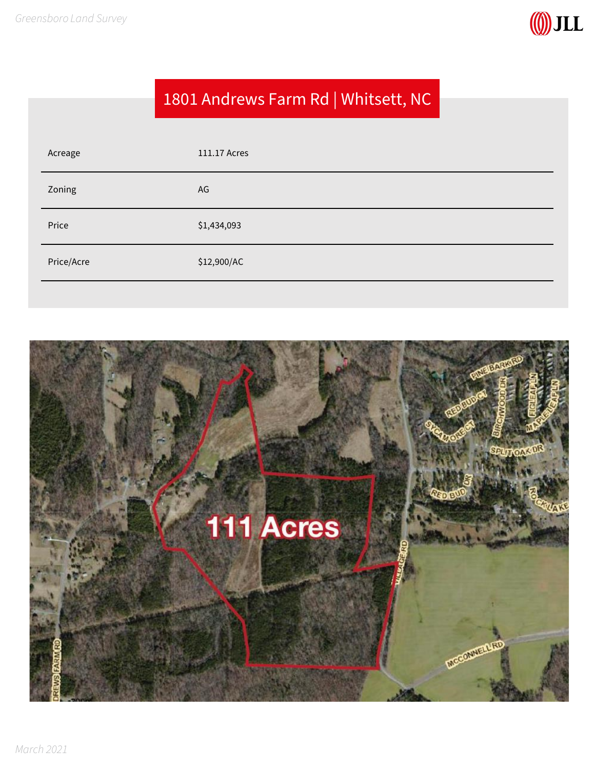

### 1801 Andrews Farm Rd | Whitsett, NC

| Acreage    | 111.17 Acres |
|------------|--------------|
| Zoning     | AG           |
| Price      | \$1,434,093  |
| Price/Acre | \$12,900/AC  |
|            |              |

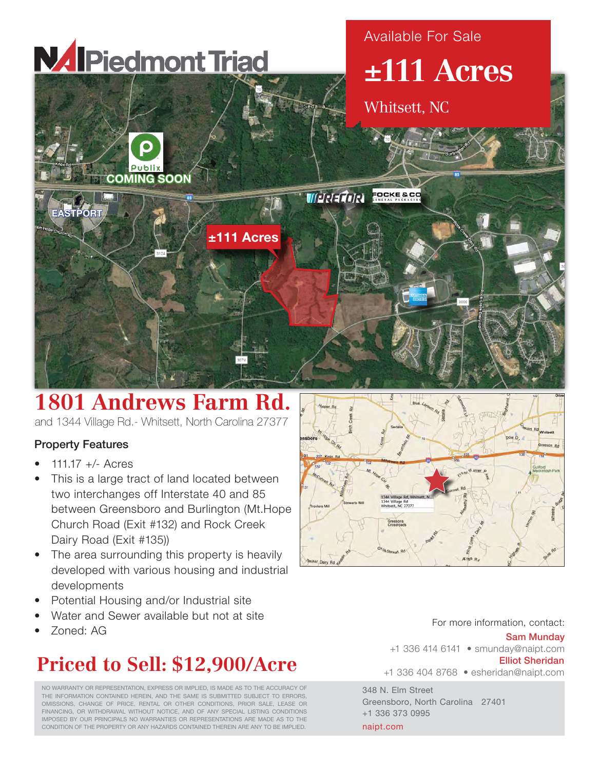

## **1801 Andrews Farm Rd.**

and 1344 Village Rd.- Whitsett, North Carolina 27377

### Property Features

- 111.17 +/- Acres
- This is a large tract of land located between two interchanges off Interstate 40 and 85 between Greensboro and Burlington (Mt.Hope Church Road (Exit #132) and Rock Creek Dairy Road (Exit #135))
- The area surrounding this property is heavily developed with various housing and industrial developments
- Potential Housing and/or Industrial site
- Water and Sewer available but not at site
- Zoned: AG

# **Priced to Sell: \$12,900/Acre**

NO WARRANTY OR REPRESENTATION, EXPRESS OR IMPLIED, IS MADE AS TO THE ACCURACY OF THE INFORMATION CONTAINED HEREIN, AND THE SAME IS SUBMITTED SUBJECT TO ERRORS, OMISSIONS, CHANGE OF PRICE, RENTAL OR OTHER CONDITIONS, PRIOR SALE, LEASE OR FINANCING, OR WITHDRAWAL WITHOUT NOTICE, AND OF ANY SPECIAL LISTING CONDITIONS IMPOSED BY OUR PRINCIPALS NO WARRANTIES OR REPRESENTATIONS ARE MADE AS TO THE CONDITION OF THE PROPERTY OR ANY HAZARDS CONTAINED THEREIN ARE ANY TO BE IMPLIED.



For more information, contact:

#### Sam Munday

+1 336 414 6141 • smunday@naipt.com Elliot Sheridan

+1 336 404 8768 • esheridan@naipt.com

348 N. Elm Street Greensboro, North Carolina 27401 +1 336 373 0995 naipt.com